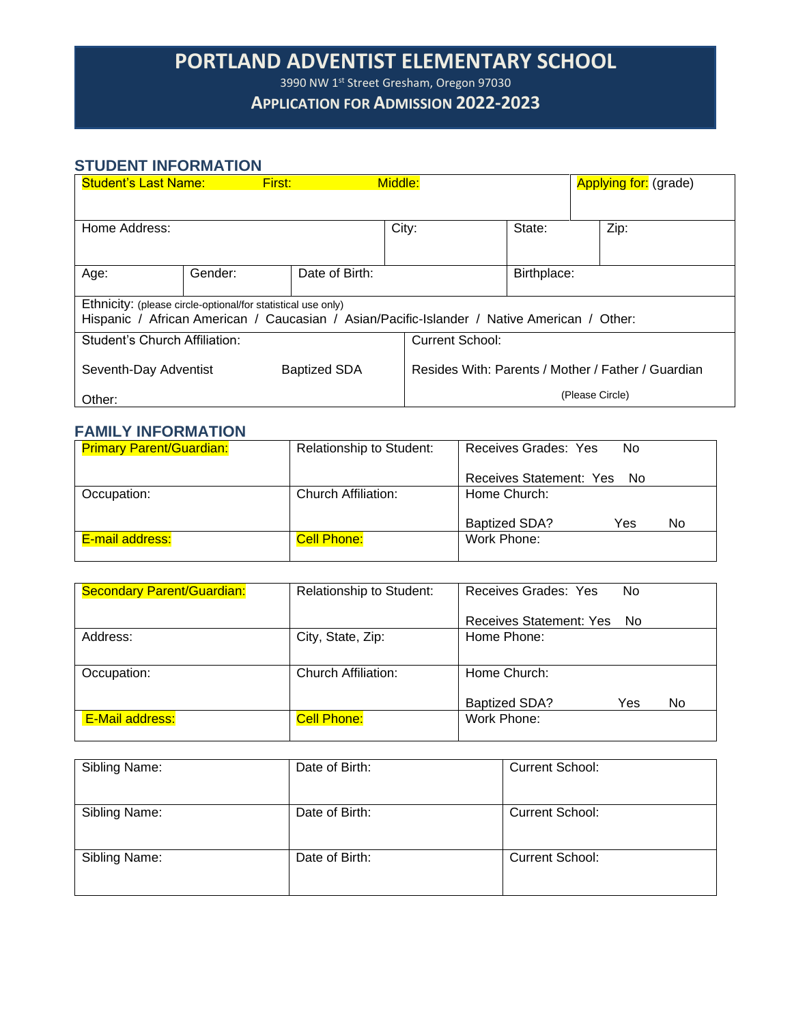# **PORTLAND ADVENTIST ELEMENTARY SCHOOL**

3990 NW 1st Street Gresham, Oregon 97030

### **APPLICATION FOR ADMISSION 2022-2023**

### **STUDENT INFORMATION**

| <b>Student's Last Name:</b>                                                                                                                                 |         | First:         | Middle:                                            |  |             |                 | <b>Applying for:</b> (grade) |
|-------------------------------------------------------------------------------------------------------------------------------------------------------------|---------|----------------|----------------------------------------------------|--|-------------|-----------------|------------------------------|
|                                                                                                                                                             |         |                |                                                    |  |             |                 |                              |
| Home Address:                                                                                                                                               |         |                | City:                                              |  | State:      |                 | Zip:                         |
|                                                                                                                                                             |         |                |                                                    |  |             |                 |                              |
| Age:                                                                                                                                                        | Gender: | Date of Birth: |                                                    |  | Birthplace: |                 |                              |
| Ethnicity: (please circle-optional/for statistical use only)<br>Hispanic / African American / Caucasian / Asian/Pacific-Islander / Native American / Other: |         |                |                                                    |  |             |                 |                              |
| Student's Church Affiliation:                                                                                                                               |         |                | <b>Current School:</b>                             |  |             |                 |                              |
| <b>Baptized SDA</b><br>Seventh-Day Adventist                                                                                                                |         |                | Resides With: Parents / Mother / Father / Guardian |  |             |                 |                              |
| Other:                                                                                                                                                      |         |                |                                                    |  |             | (Please Circle) |                              |

#### **FAMILY INFORMATION**

| <b>Primary Parent/Guardian:</b> | Relationship to Student: | Receives Grades: Yes<br>No        |
|---------------------------------|--------------------------|-----------------------------------|
|                                 |                          | Receives Statement: Yes No        |
| Occupation:                     | Church Affiliation:      | Home Church:                      |
|                                 |                          | <b>Baptized SDA?</b><br>Yes<br>No |
| E-mail address:                 | <b>Cell Phone:</b>       | Work Phone:                       |
|                                 |                          |                                   |

| <b>Secondary Parent/Guardian:</b> | Relationship to Student: | Receives Grades: Yes<br>No         |
|-----------------------------------|--------------------------|------------------------------------|
|                                   |                          | Receives Statement: Yes No         |
| Address:                          | City, State, Zip:        | Home Phone:                        |
|                                   |                          |                                    |
| Occupation:                       | Church Affiliation:      | Home Church:                       |
|                                   |                          | <b>Baptized SDA?</b><br>Yes<br>No. |
| <b>E-Mail address:</b>            | <b>Cell Phone:</b>       | Work Phone:                        |
|                                   |                          |                                    |

| Sibling Name: | Date of Birth: | <b>Current School:</b> |
|---------------|----------------|------------------------|
| Sibling Name: | Date of Birth: | <b>Current School:</b> |
| Sibling Name: | Date of Birth: | <b>Current School:</b> |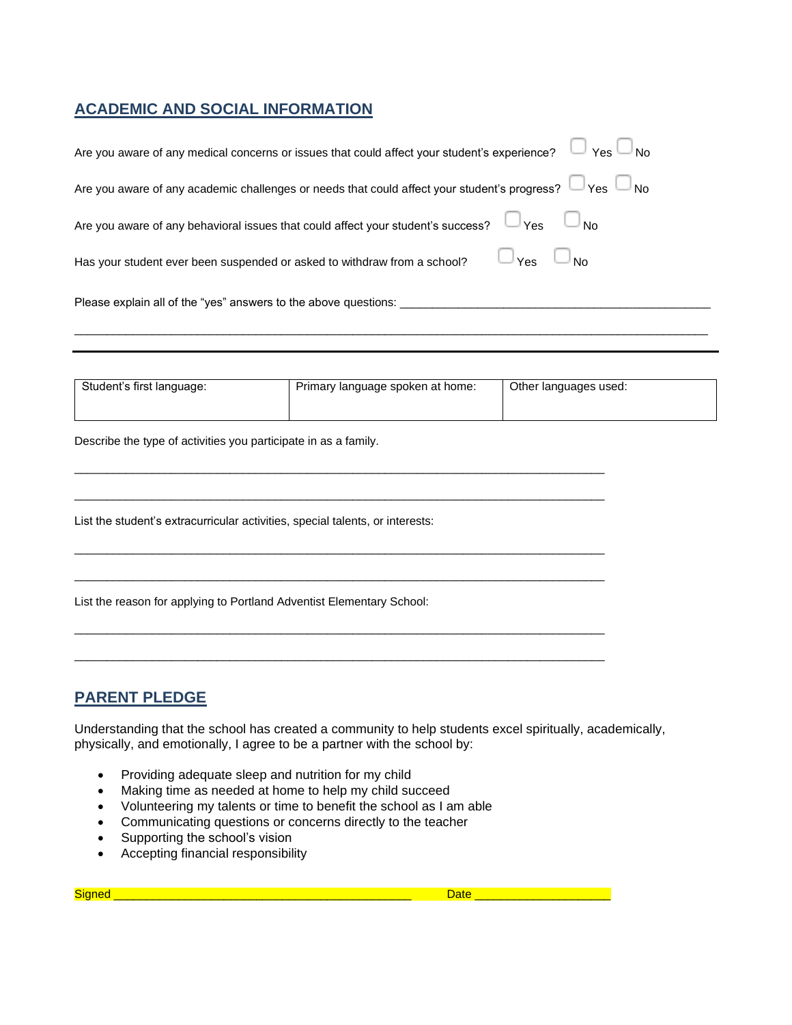#### **ACADEMIC AND SOCIAL INFORMATION**

| Are you aware of any medical concerns or issues that could affect your student's experience? $\Box$ Yes $\Box$ No |
|-------------------------------------------------------------------------------------------------------------------|
| Are you aware of any academic challenges or needs that could affect your student's progress? $\Box$ Yes $\Box$ No |
| Are you aware of any behavioral issues that could affect your student's success? $\Box$ Yes $\Box$ No             |
| Has your student ever been suspended or asked to withdraw from a school? $\Box$ Yes $\Box$ No                     |
| Please explain all of the "yes" answers to the above questions: ________________                                  |
|                                                                                                                   |

| Student's first language: | Primary language spoken at home: | Other languages used: |
|---------------------------|----------------------------------|-----------------------|
|                           |                                  |                       |

\_\_\_\_\_\_\_\_\_\_\_\_\_\_\_\_\_\_\_\_\_\_\_\_\_\_\_\_\_\_\_\_\_\_\_\_\_\_\_\_\_\_\_\_\_\_\_\_\_\_\_\_\_\_\_\_\_\_\_\_\_\_\_\_\_\_\_\_\_\_\_\_\_\_\_\_\_\_\_\_\_\_

\_\_\_\_\_\_\_\_\_\_\_\_\_\_\_\_\_\_\_\_\_\_\_\_\_\_\_\_\_\_\_\_\_\_\_\_\_\_\_\_\_\_\_\_\_\_\_\_\_\_\_\_\_\_\_\_\_\_\_\_\_\_\_\_\_\_\_\_\_\_\_\_\_\_\_\_\_\_\_\_\_\_

\_\_\_\_\_\_\_\_\_\_\_\_\_\_\_\_\_\_\_\_\_\_\_\_\_\_\_\_\_\_\_\_\_\_\_\_\_\_\_\_\_\_\_\_\_\_\_\_\_\_\_\_\_\_\_\_\_\_\_\_\_\_\_\_\_\_\_\_\_\_\_\_\_\_\_\_\_\_\_\_\_\_

\_\_\_\_\_\_\_\_\_\_\_\_\_\_\_\_\_\_\_\_\_\_\_\_\_\_\_\_\_\_\_\_\_\_\_\_\_\_\_\_\_\_\_\_\_\_\_\_\_\_\_\_\_\_\_\_\_\_\_\_\_\_\_\_\_\_\_\_\_\_\_\_\_\_\_\_\_\_\_\_\_\_

\_\_\_\_\_\_\_\_\_\_\_\_\_\_\_\_\_\_\_\_\_\_\_\_\_\_\_\_\_\_\_\_\_\_\_\_\_\_\_\_\_\_\_\_\_\_\_\_\_\_\_\_\_\_\_\_\_\_\_\_\_\_\_\_\_\_\_\_\_\_\_\_\_\_\_\_\_\_\_\_\_\_

\_\_\_\_\_\_\_\_\_\_\_\_\_\_\_\_\_\_\_\_\_\_\_\_\_\_\_\_\_\_\_\_\_\_\_\_\_\_\_\_\_\_\_\_\_\_\_\_\_\_\_\_\_\_\_\_\_\_\_\_\_\_\_\_\_\_\_\_\_\_\_\_\_\_\_\_\_\_\_\_\_\_

Describe the type of activities you participate in as a family.

List the student's extracurricular activities, special talents, or interests:

List the reason for applying to Portland Adventist Elementary School:

#### **PARENT PLEDGE**

Understanding that the school has created a community to help students excel spiritually, academically, physically, and emotionally, I agree to be a partner with the school by:

- Providing adequate sleep and nutrition for my child
- Making time as needed at home to help my child succeed
- Volunteering my talents or time to benefit the school as I am able
- Communicating questions or concerns directly to the teacher
- Supporting the school's vision
- Accepting financial responsibility

Signed \_\_\_\_\_\_\_\_\_\_\_\_\_\_\_\_\_\_\_\_\_\_\_\_\_\_\_\_\_\_\_\_\_\_\_\_\_\_\_\_\_\_\_\_\_\_ Date \_\_\_\_\_\_\_\_\_\_\_\_\_\_\_\_\_\_\_\_\_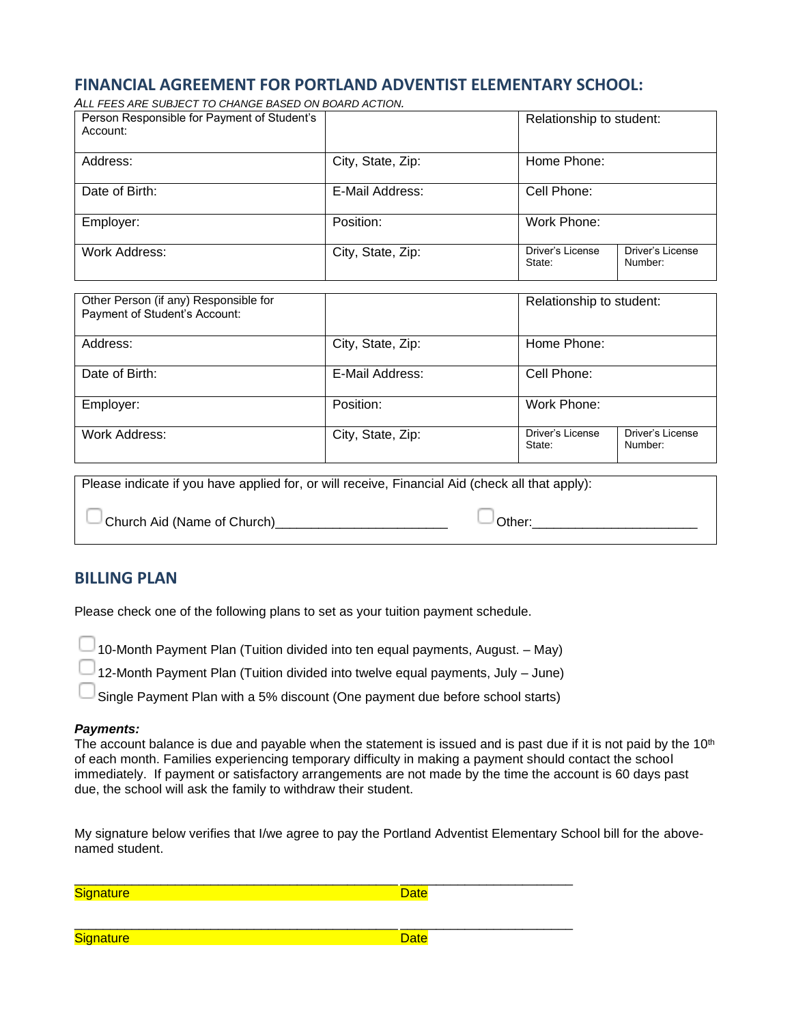#### **FINANCIAL AGREEMENT FOR PORTLAND ADVENTIST ELEMENTARY SCHOOL:**

| ALL FEES ARE SUBJECT TO CHANGE BASED ON BOARD ACTION. |                   |                            |                             |
|-------------------------------------------------------|-------------------|----------------------------|-----------------------------|
| Person Responsible for Payment of Student's           |                   | Relationship to student:   |                             |
| Account:                                              |                   |                            |                             |
| Address:                                              | City, State, Zip: | Home Phone:                |                             |
| Date of Birth:                                        | E-Mail Address:   | Cell Phone:                |                             |
| Employer:                                             | Position:         | Work Phone:                |                             |
| Work Address:                                         | City, State, Zip: | Driver's License<br>State: | Driver's License<br>Number: |

| Other Person (if any) Responsible for<br>Payment of Student's Account:                         |                   | Relationship to student:                                  |
|------------------------------------------------------------------------------------------------|-------------------|-----------------------------------------------------------|
| Address:                                                                                       | City, State, Zip: | Home Phone:                                               |
| Date of Birth:                                                                                 | E-Mail Address:   | Cell Phone:                                               |
| Employer:                                                                                      | Position:         | Work Phone:                                               |
| Work Address:                                                                                  | City, State, Zip: | Driver's License<br>Driver's License<br>Number:<br>State: |
| Please indicate if you have applied for or will receive. Financial Aid (check all that apply): |                   |                                                           |

indicate if you have applied for, or will receive, Financial Aid (check all that apply):

Church Aid (Name of Church)\_\_\_\_\_\_\_\_\_\_\_\_\_\_\_\_\_\_\_\_\_\_\_\_ Other:\_\_\_\_\_\_\_\_\_\_\_\_\_\_\_\_\_\_\_\_\_\_\_

#### **BILLING PLAN**

Please check one of the following plans to set as your tuition payment schedule.

10-Month Payment Plan (Tuition divided into ten equal payments, August. – May)

12-Month Payment Plan (Tuition divided into twelve equal payments, July – June)

Single Payment Plan with a 5% discount (One payment due before school starts)

#### *Payments:*

The account balance is due and payable when the statement is issued and is past due if it is not paid by the  $10<sup>th</sup>$ of each month. Families experiencing temporary difficulty in making a payment should contact the school immediately. If payment or satisfactory arrangements are not made by the time the account is 60 days past due, the school will ask the family to withdraw their student.

My signature below verifies that I/we agree to pay the Portland Adventist Elementary School bill for the abovenamed student.

| Signature        | <b>Date</b> |
|------------------|-------------|
| <b>Signature</b> | <b>Date</b> |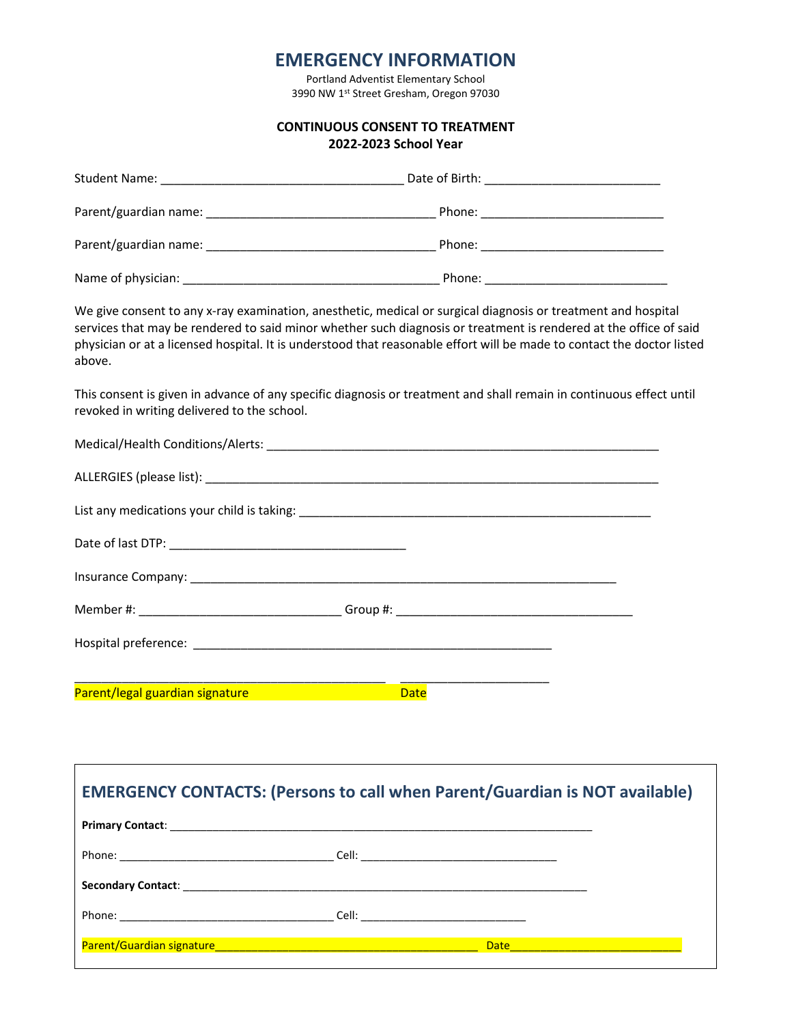### **EMERGENCY INFORMATION**

Portland Adventist Elementary School 3990 NW 1st Street Gresham, Oregon 97030

| CONTINUOUS CONSENT TO TREATMENT |  |  |
|---------------------------------|--|--|
|---------------------------------|--|--|

#### **2022-2023 School Year**

| above.                                      | We give consent to any x-ray examination, anesthetic, medical or surgical diagnosis or treatment and hospital<br>services that may be rendered to said minor whether such diagnosis or treatment is rendered at the office of said<br>physician or at a licensed hospital. It is understood that reasonable effort will be made to contact the doctor listed |
|---------------------------------------------|--------------------------------------------------------------------------------------------------------------------------------------------------------------------------------------------------------------------------------------------------------------------------------------------------------------------------------------------------------------|
| revoked in writing delivered to the school. | This consent is given in advance of any specific diagnosis or treatment and shall remain in continuous effect until                                                                                                                                                                                                                                          |
|                                             |                                                                                                                                                                                                                                                                                                                                                              |
|                                             |                                                                                                                                                                                                                                                                                                                                                              |
|                                             |                                                                                                                                                                                                                                                                                                                                                              |
|                                             |                                                                                                                                                                                                                                                                                                                                                              |
|                                             |                                                                                                                                                                                                                                                                                                                                                              |
|                                             |                                                                                                                                                                                                                                                                                                                                                              |
|                                             |                                                                                                                                                                                                                                                                                                                                                              |
|                                             |                                                                                                                                                                                                                                                                                                                                                              |
| Parent/legal guardian signature             | <b>Date</b>                                                                                                                                                                                                                                                                                                                                                  |

| <b>EMERGENCY CONTACTS: (Persons to call when Parent/Guardian is NOT available)</b>                                      |
|-------------------------------------------------------------------------------------------------------------------------|
|                                                                                                                         |
|                                                                                                                         |
|                                                                                                                         |
|                                                                                                                         |
| Parent/Guardian signature <b>Antiquist Contract Contract Contract Contract Contract Contract Contract Contract Cont</b> |

 $\Gamma$